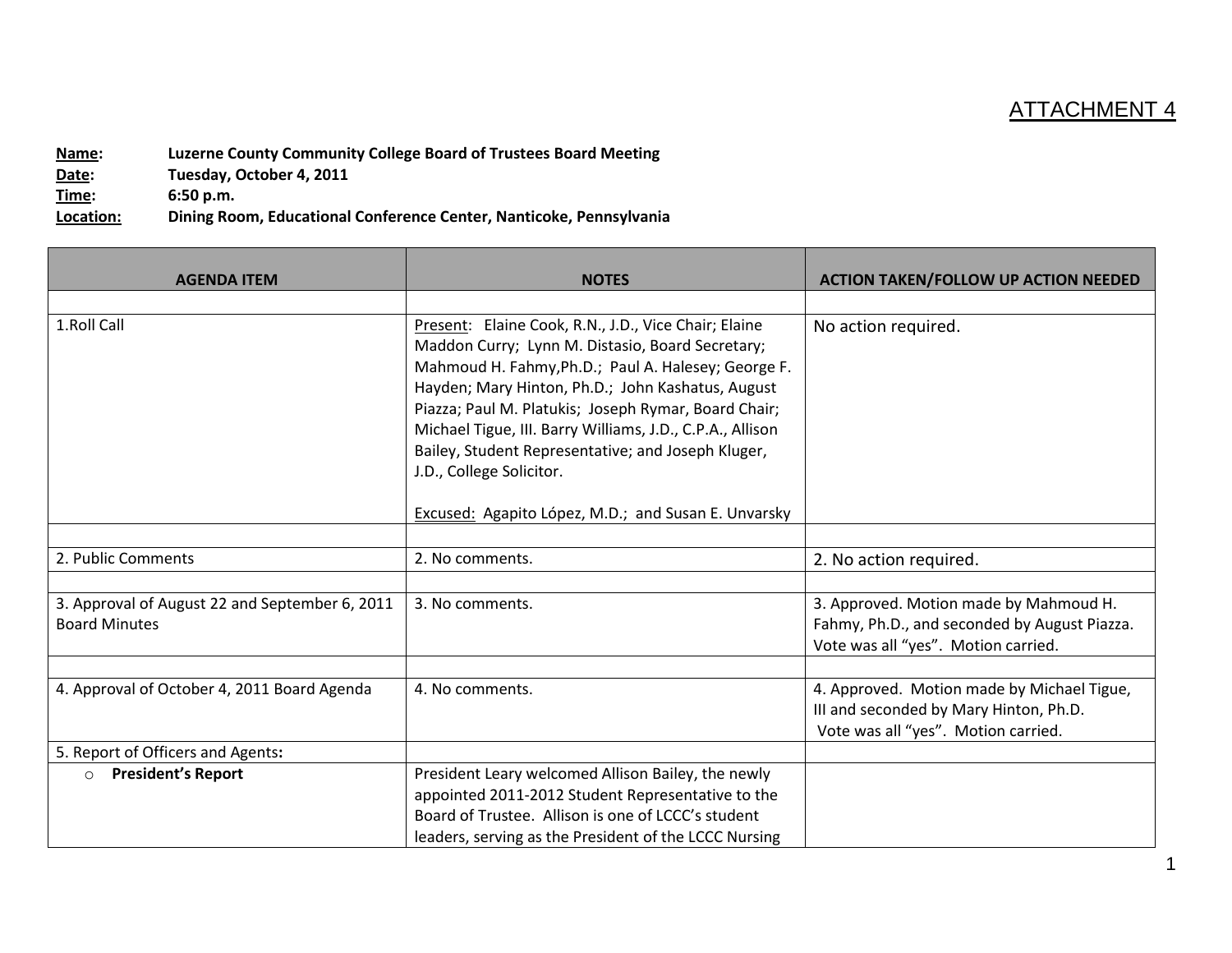## ATTACHMENT 4

**Name:** Luzerne County Community College Board of Trustees Board Meeting<br>Date: Tuesday, October 4, 2011 Tuesday, October 4, 2011 **Time: 6:50 p.m. Location: Dining Room, Educational Conference Center, Nanticoke, Pennsylvania**

| <b>AGENDA ITEM</b>                                                     | <b>NOTES</b>                                                                                                                                                                                                                                                                                                                                                                                                                                                                       | <b>ACTION TAKEN/FOLLOW UP ACTION NEEDED</b>                                                                                   |
|------------------------------------------------------------------------|------------------------------------------------------------------------------------------------------------------------------------------------------------------------------------------------------------------------------------------------------------------------------------------------------------------------------------------------------------------------------------------------------------------------------------------------------------------------------------|-------------------------------------------------------------------------------------------------------------------------------|
| 1.Roll Call                                                            | Present: Elaine Cook, R.N., J.D., Vice Chair; Elaine<br>Maddon Curry; Lynn M. Distasio, Board Secretary;<br>Mahmoud H. Fahmy, Ph.D.; Paul A. Halesey; George F.<br>Hayden; Mary Hinton, Ph.D.; John Kashatus, August<br>Piazza; Paul M. Platukis; Joseph Rymar, Board Chair;<br>Michael Tigue, III. Barry Williams, J.D., C.P.A., Allison<br>Bailey, Student Representative; and Joseph Kluger,<br>J.D., College Solicitor.<br>Excused: Agapito López, M.D.; and Susan E. Unvarsky | No action required.                                                                                                           |
|                                                                        |                                                                                                                                                                                                                                                                                                                                                                                                                                                                                    |                                                                                                                               |
| 2. Public Comments                                                     | 2. No comments.                                                                                                                                                                                                                                                                                                                                                                                                                                                                    | 2. No action required.                                                                                                        |
| 3. Approval of August 22 and September 6, 2011<br><b>Board Minutes</b> | 3. No comments.                                                                                                                                                                                                                                                                                                                                                                                                                                                                    | 3. Approved. Motion made by Mahmoud H.<br>Fahmy, Ph.D., and seconded by August Piazza.<br>Vote was all "yes". Motion carried. |
| 4. Approval of October 4, 2011 Board Agenda                            | 4. No comments.                                                                                                                                                                                                                                                                                                                                                                                                                                                                    | 4. Approved. Motion made by Michael Tigue,<br>III and seconded by Mary Hinton, Ph.D.<br>Vote was all "yes". Motion carried.   |
| 5. Report of Officers and Agents:                                      |                                                                                                                                                                                                                                                                                                                                                                                                                                                                                    |                                                                                                                               |
| <b>President's Report</b><br>$\circ$                                   | President Leary welcomed Allison Bailey, the newly<br>appointed 2011-2012 Student Representative to the<br>Board of Trustee. Allison is one of LCCC's student<br>leaders, serving as the President of the LCCC Nursing                                                                                                                                                                                                                                                             |                                                                                                                               |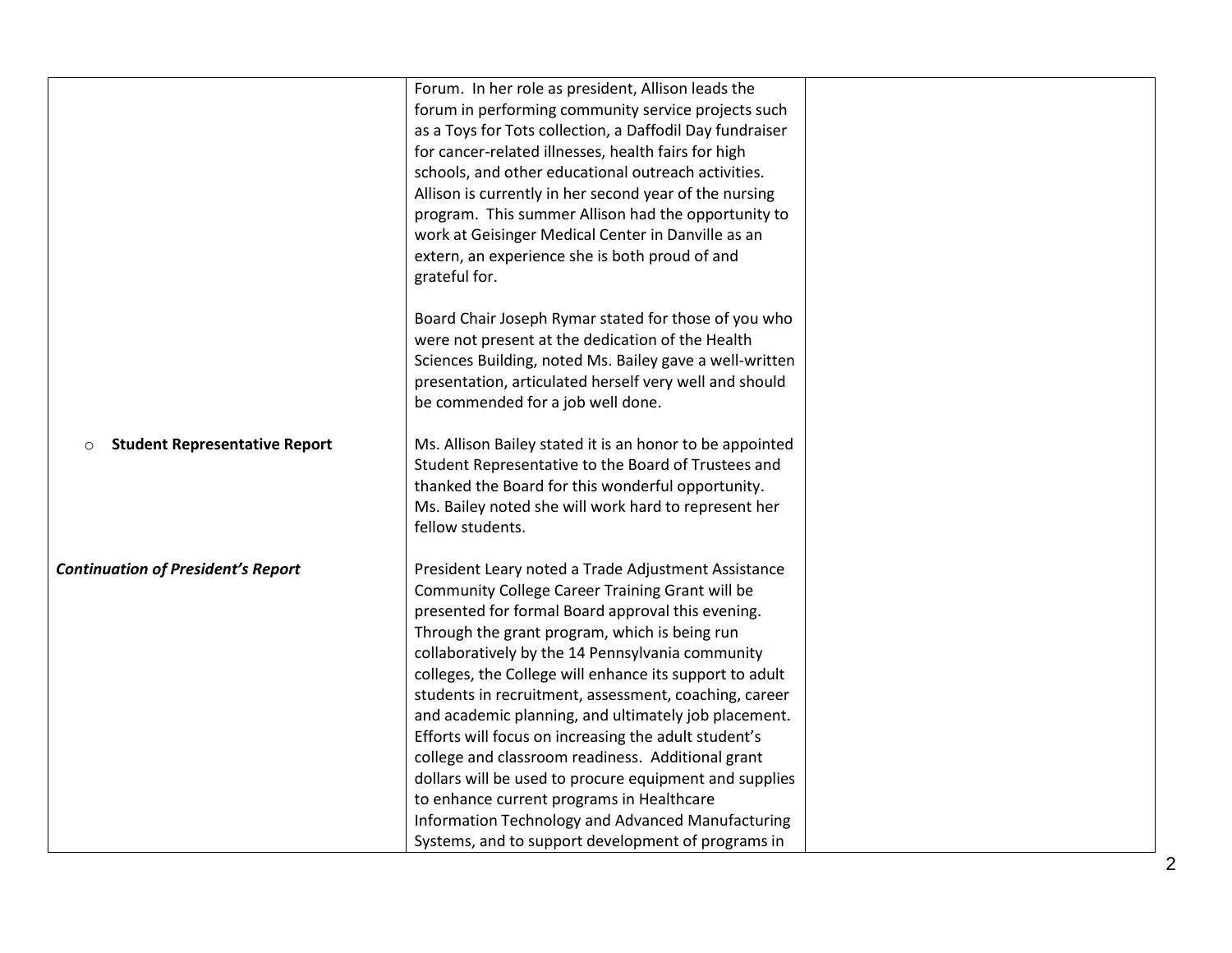|                                                 | Forum. In her role as president, Allison leads the<br>forum in performing community service projects such<br>as a Toys for Tots collection, a Daffodil Day fundraiser<br>for cancer-related illnesses, health fairs for high<br>schools, and other educational outreach activities.<br>Allison is currently in her second year of the nursing<br>program. This summer Allison had the opportunity to<br>work at Geisinger Medical Center in Danville as an                                                                                                                                                                                                                                                            |  |
|-------------------------------------------------|-----------------------------------------------------------------------------------------------------------------------------------------------------------------------------------------------------------------------------------------------------------------------------------------------------------------------------------------------------------------------------------------------------------------------------------------------------------------------------------------------------------------------------------------------------------------------------------------------------------------------------------------------------------------------------------------------------------------------|--|
|                                                 | extern, an experience she is both proud of and<br>grateful for.                                                                                                                                                                                                                                                                                                                                                                                                                                                                                                                                                                                                                                                       |  |
|                                                 | Board Chair Joseph Rymar stated for those of you who<br>were not present at the dedication of the Health<br>Sciences Building, noted Ms. Bailey gave a well-written<br>presentation, articulated herself very well and should<br>be commended for a job well done.                                                                                                                                                                                                                                                                                                                                                                                                                                                    |  |
| <b>Student Representative Report</b><br>$\circ$ | Ms. Allison Bailey stated it is an honor to be appointed<br>Student Representative to the Board of Trustees and<br>thanked the Board for this wonderful opportunity.<br>Ms. Bailey noted she will work hard to represent her<br>fellow students.                                                                                                                                                                                                                                                                                                                                                                                                                                                                      |  |
| <b>Continuation of President's Report</b>       | President Leary noted a Trade Adjustment Assistance<br>Community College Career Training Grant will be<br>presented for formal Board approval this evening.<br>Through the grant program, which is being run<br>collaboratively by the 14 Pennsylvania community<br>colleges, the College will enhance its support to adult<br>students in recruitment, assessment, coaching, career<br>and academic planning, and ultimately job placement.<br>Efforts will focus on increasing the adult student's<br>college and classroom readiness. Additional grant<br>dollars will be used to procure equipment and supplies<br>to enhance current programs in Healthcare<br>Information Technology and Advanced Manufacturing |  |
|                                                 | Systems, and to support development of programs in                                                                                                                                                                                                                                                                                                                                                                                                                                                                                                                                                                                                                                                                    |  |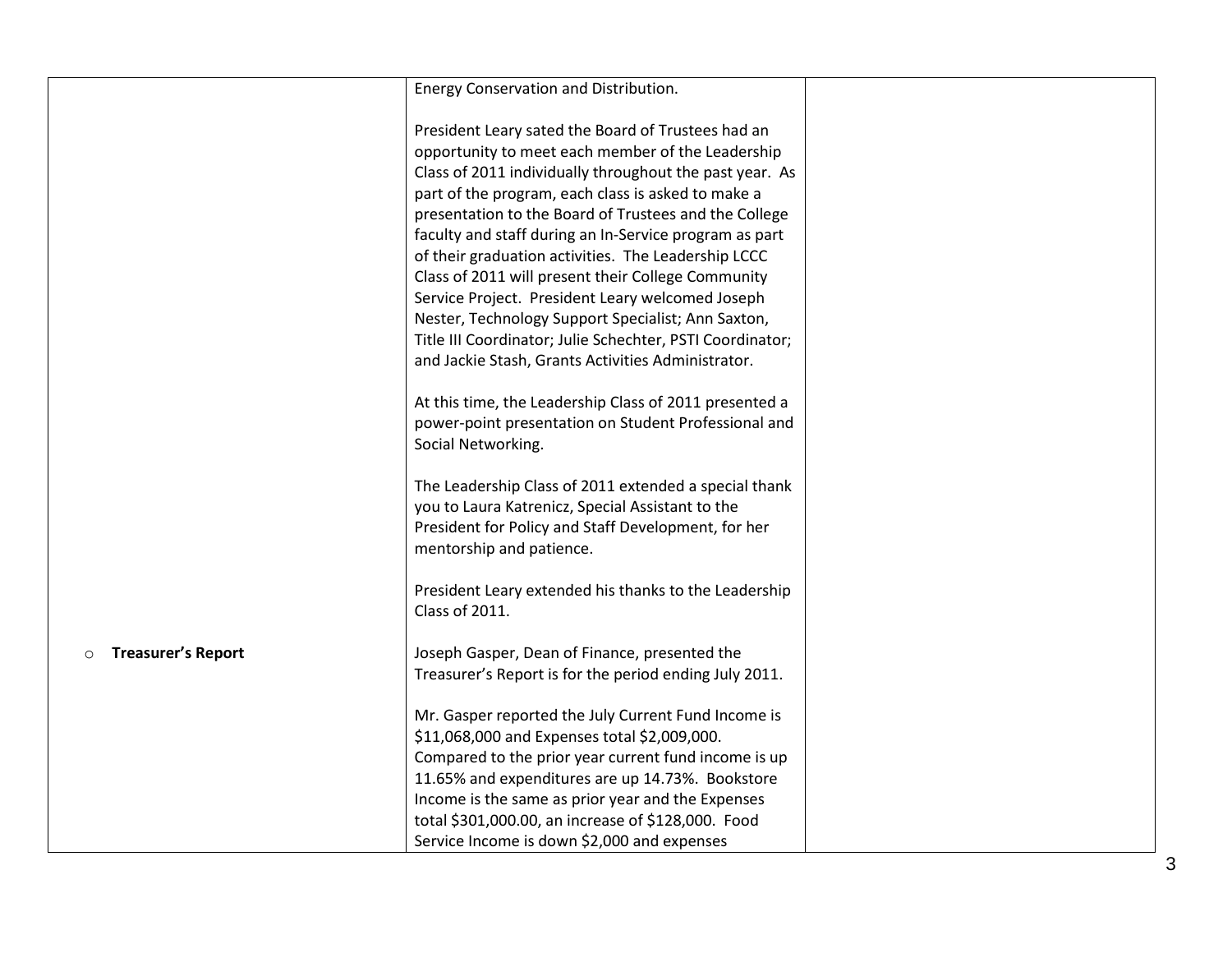|                                      | Energy Conservation and Distribution.                                                                                                                                                                                                                                                                                                                                                                                                                                                                                                                                                                                                                                                 |  |
|--------------------------------------|---------------------------------------------------------------------------------------------------------------------------------------------------------------------------------------------------------------------------------------------------------------------------------------------------------------------------------------------------------------------------------------------------------------------------------------------------------------------------------------------------------------------------------------------------------------------------------------------------------------------------------------------------------------------------------------|--|
|                                      | President Leary sated the Board of Trustees had an<br>opportunity to meet each member of the Leadership<br>Class of 2011 individually throughout the past year. As<br>part of the program, each class is asked to make a<br>presentation to the Board of Trustees and the College<br>faculty and staff during an In-Service program as part<br>of their graduation activities. The Leadership LCCC<br>Class of 2011 will present their College Community<br>Service Project. President Leary welcomed Joseph<br>Nester, Technology Support Specialist; Ann Saxton,<br>Title III Coordinator; Julie Schechter, PSTI Coordinator;<br>and Jackie Stash, Grants Activities Administrator. |  |
|                                      | At this time, the Leadership Class of 2011 presented a<br>power-point presentation on Student Professional and<br>Social Networking.                                                                                                                                                                                                                                                                                                                                                                                                                                                                                                                                                  |  |
|                                      | The Leadership Class of 2011 extended a special thank<br>you to Laura Katrenicz, Special Assistant to the<br>President for Policy and Staff Development, for her<br>mentorship and patience.                                                                                                                                                                                                                                                                                                                                                                                                                                                                                          |  |
|                                      | President Leary extended his thanks to the Leadership<br>Class of 2011.                                                                                                                                                                                                                                                                                                                                                                                                                                                                                                                                                                                                               |  |
| <b>Treasurer's Report</b><br>$\circ$ | Joseph Gasper, Dean of Finance, presented the<br>Treasurer's Report is for the period ending July 2011.                                                                                                                                                                                                                                                                                                                                                                                                                                                                                                                                                                               |  |
|                                      | Mr. Gasper reported the July Current Fund Income is<br>\$11,068,000 and Expenses total \$2,009,000.<br>Compared to the prior year current fund income is up<br>11.65% and expenditures are up 14.73%. Bookstore<br>Income is the same as prior year and the Expenses                                                                                                                                                                                                                                                                                                                                                                                                                  |  |
|                                      | total \$301,000.00, an increase of \$128,000. Food<br>Service Income is down \$2,000 and expenses                                                                                                                                                                                                                                                                                                                                                                                                                                                                                                                                                                                     |  |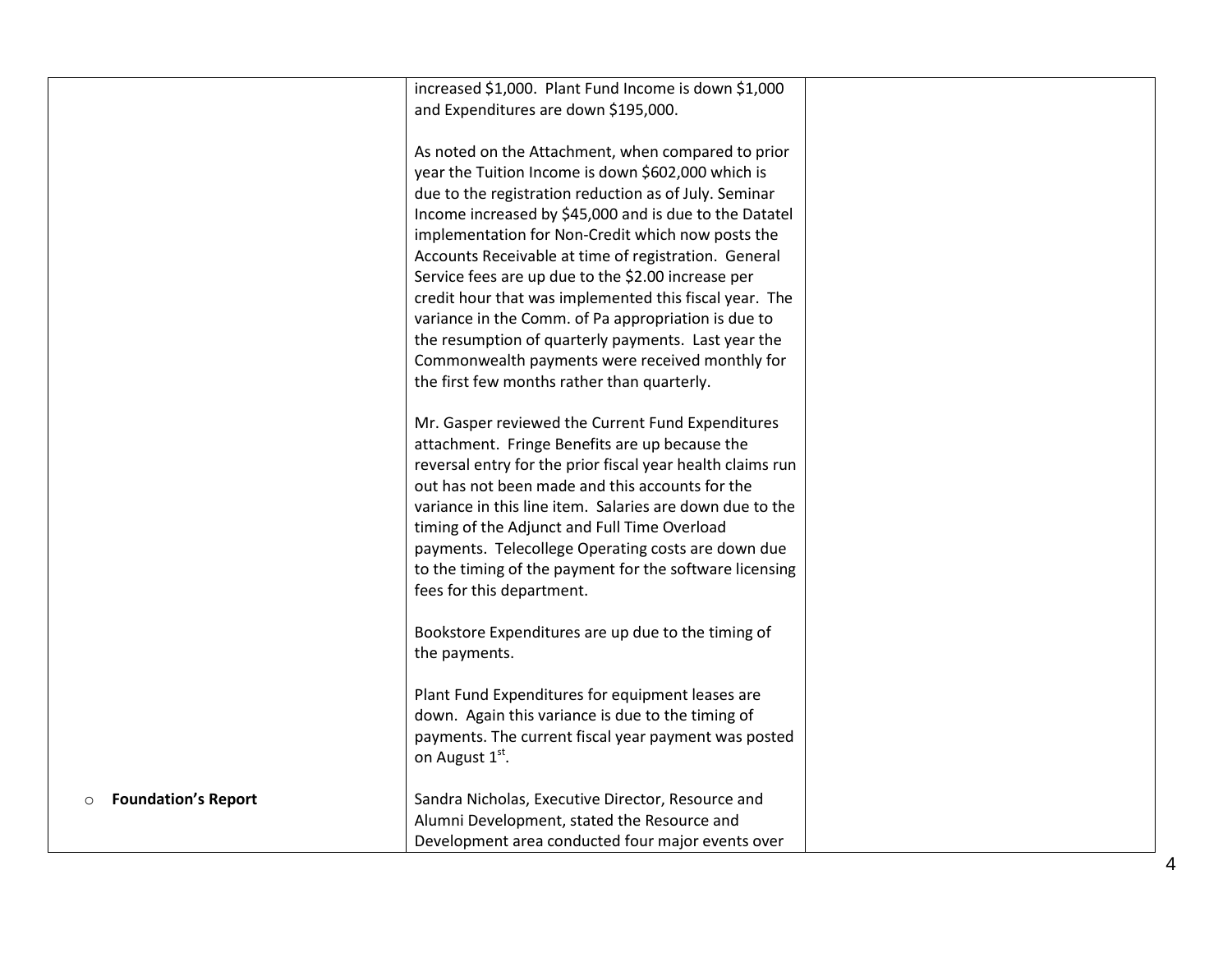|                                 | increased \$1,000. Plant Fund Income is down \$1,000       |  |
|---------------------------------|------------------------------------------------------------|--|
|                                 | and Expenditures are down \$195,000.                       |  |
|                                 |                                                            |  |
|                                 | As noted on the Attachment, when compared to prior         |  |
|                                 | year the Tuition Income is down \$602,000 which is         |  |
|                                 | due to the registration reduction as of July. Seminar      |  |
|                                 | Income increased by \$45,000 and is due to the Datatel     |  |
|                                 | implementation for Non-Credit which now posts the          |  |
|                                 | Accounts Receivable at time of registration. General       |  |
|                                 | Service fees are up due to the \$2.00 increase per         |  |
|                                 | credit hour that was implemented this fiscal year. The     |  |
|                                 | variance in the Comm. of Pa appropriation is due to        |  |
|                                 | the resumption of quarterly payments. Last year the        |  |
|                                 | Commonwealth payments were received monthly for            |  |
|                                 | the first few months rather than quarterly.                |  |
|                                 |                                                            |  |
|                                 | Mr. Gasper reviewed the Current Fund Expenditures          |  |
|                                 |                                                            |  |
|                                 | attachment. Fringe Benefits are up because the             |  |
|                                 | reversal entry for the prior fiscal year health claims run |  |
|                                 | out has not been made and this accounts for the            |  |
|                                 | variance in this line item. Salaries are down due to the   |  |
|                                 | timing of the Adjunct and Full Time Overload               |  |
|                                 | payments. Telecollege Operating costs are down due         |  |
|                                 | to the timing of the payment for the software licensing    |  |
|                                 | fees for this department.                                  |  |
|                                 |                                                            |  |
|                                 | Bookstore Expenditures are up due to the timing of         |  |
|                                 | the payments.                                              |  |
|                                 |                                                            |  |
|                                 | Plant Fund Expenditures for equipment leases are           |  |
|                                 | down. Again this variance is due to the timing of          |  |
|                                 | payments. The current fiscal year payment was posted       |  |
|                                 | on August 1 <sup>st</sup> .                                |  |
|                                 |                                                            |  |
| <b>Foundation's Report</b><br>O | Sandra Nicholas, Executive Director, Resource and          |  |
|                                 | Alumni Development, stated the Resource and                |  |
|                                 | Development area conducted four major events over          |  |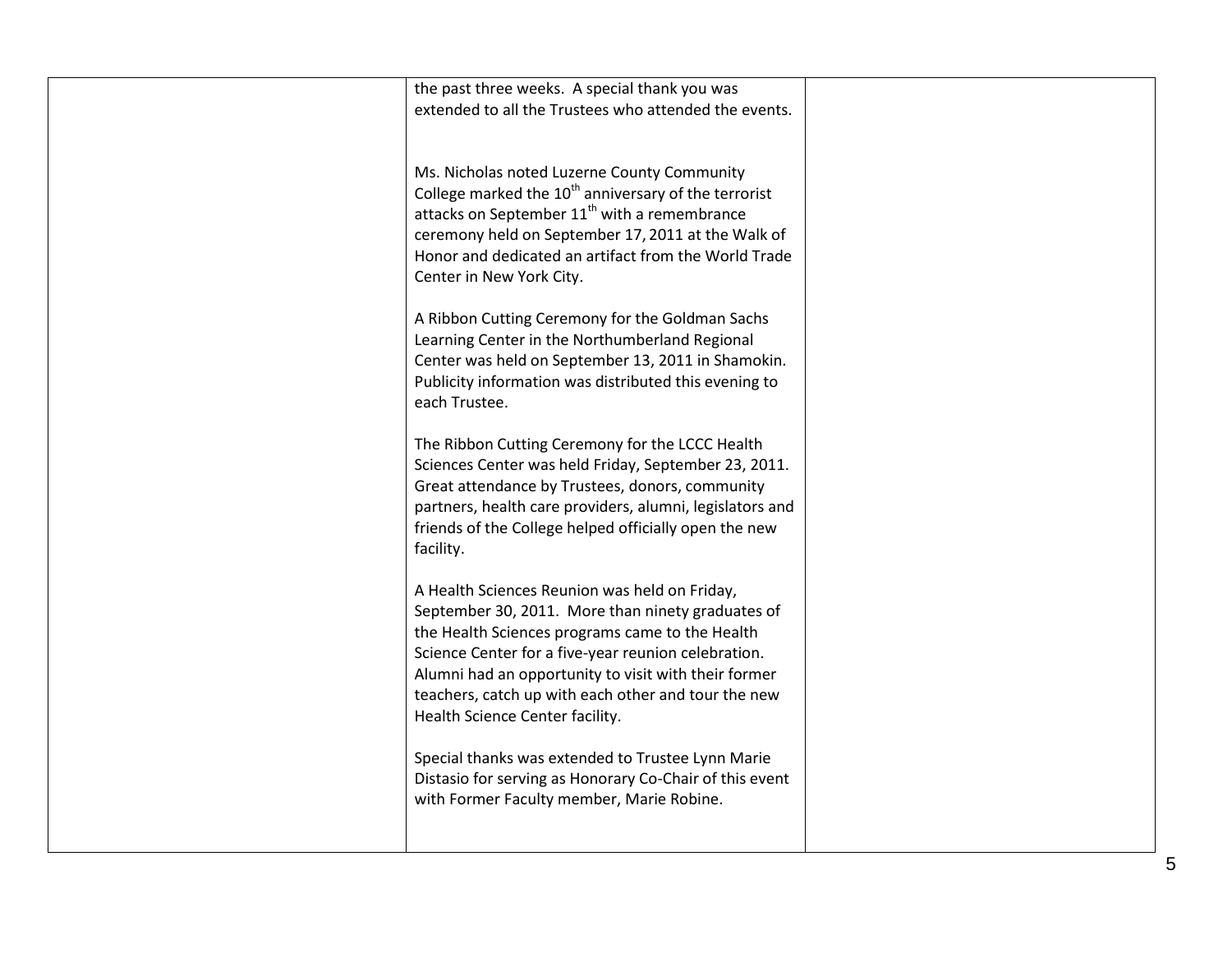| the past three weeks. A special thank you was<br>extended to all the Trustees who attended the events.                                                                                                                                                                                                                                                         |  |
|----------------------------------------------------------------------------------------------------------------------------------------------------------------------------------------------------------------------------------------------------------------------------------------------------------------------------------------------------------------|--|
| Ms. Nicholas noted Luzerne County Community<br>College marked the 10 <sup>th</sup> anniversary of the terrorist<br>attacks on September 11 <sup>th</sup> with a remembrance<br>ceremony held on September 17, 2011 at the Walk of<br>Honor and dedicated an artifact from the World Trade<br>Center in New York City.                                          |  |
| A Ribbon Cutting Ceremony for the Goldman Sachs<br>Learning Center in the Northumberland Regional<br>Center was held on September 13, 2011 in Shamokin.<br>Publicity information was distributed this evening to<br>each Trustee.                                                                                                                              |  |
| The Ribbon Cutting Ceremony for the LCCC Health<br>Sciences Center was held Friday, September 23, 2011.<br>Great attendance by Trustees, donors, community<br>partners, health care providers, alumni, legislators and<br>friends of the College helped officially open the new<br>facility.                                                                   |  |
| A Health Sciences Reunion was held on Friday,<br>September 30, 2011. More than ninety graduates of<br>the Health Sciences programs came to the Health<br>Science Center for a five-year reunion celebration.<br>Alumni had an opportunity to visit with their former<br>teachers, catch up with each other and tour the new<br>Health Science Center facility. |  |
| Special thanks was extended to Trustee Lynn Marie<br>Distasio for serving as Honorary Co-Chair of this event<br>with Former Faculty member, Marie Robine.                                                                                                                                                                                                      |  |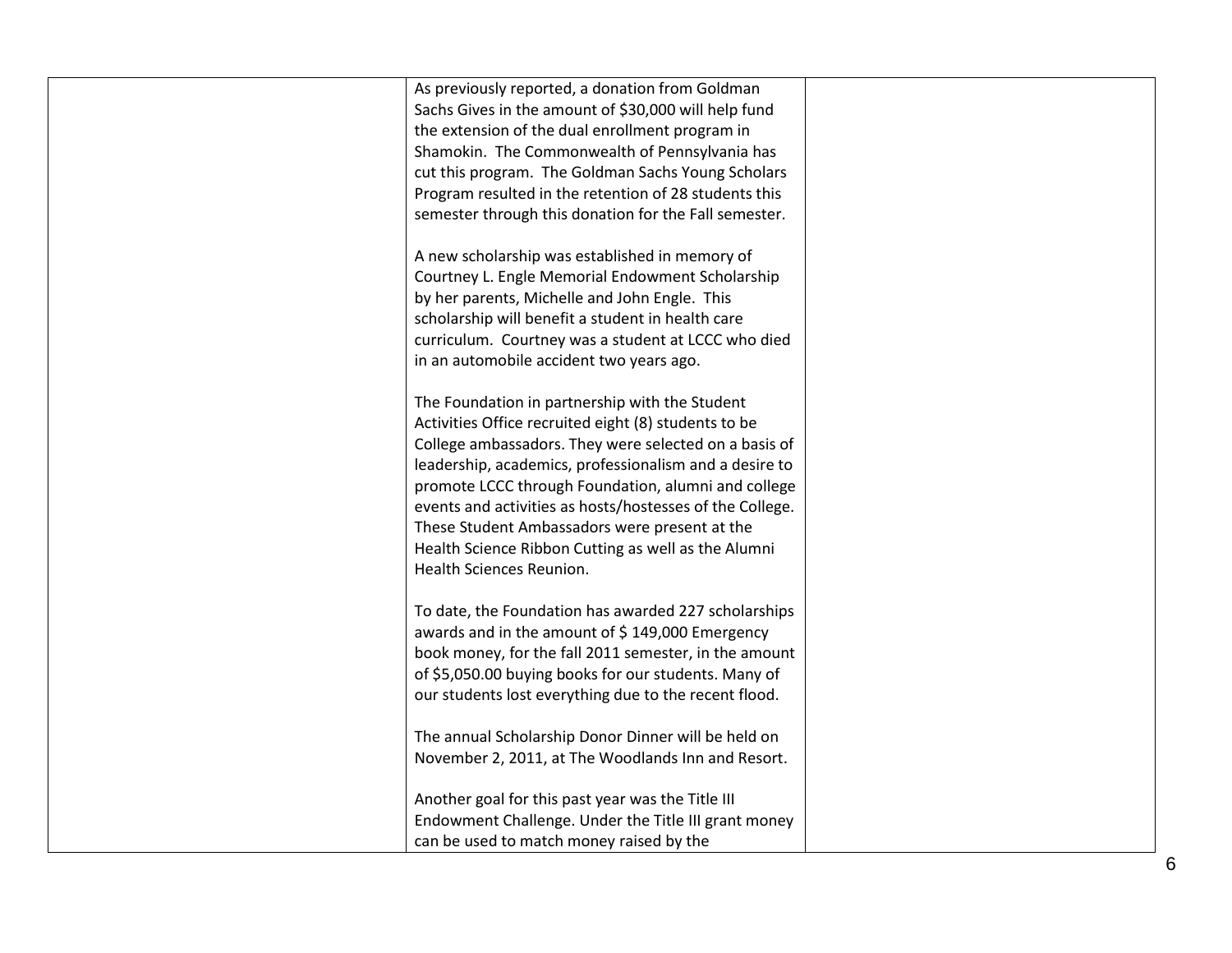| As previously reported, a donation from Goldman<br>Sachs Gives in the amount of \$30,000 will help fund<br>the extension of the dual enrollment program in<br>Shamokin. The Commonwealth of Pennsylvania has<br>cut this program. The Goldman Sachs Young Scholars<br>Program resulted in the retention of 28 students this                                                              |  |
|------------------------------------------------------------------------------------------------------------------------------------------------------------------------------------------------------------------------------------------------------------------------------------------------------------------------------------------------------------------------------------------|--|
| semester through this donation for the Fall semester.<br>A new scholarship was established in memory of<br>Courtney L. Engle Memorial Endowment Scholarship<br>by her parents, Michelle and John Engle. This<br>scholarship will benefit a student in health care<br>curriculum. Courtney was a student at LCCC who died                                                                 |  |
| in an automobile accident two years ago.<br>The Foundation in partnership with the Student<br>Activities Office recruited eight (8) students to be<br>College ambassadors. They were selected on a basis of<br>leadership, academics, professionalism and a desire to<br>promote LCCC through Foundation, alumni and college<br>events and activities as hosts/hostesses of the College. |  |
| These Student Ambassadors were present at the<br>Health Science Ribbon Cutting as well as the Alumni<br><b>Health Sciences Reunion.</b><br>To date, the Foundation has awarded 227 scholarships<br>awards and in the amount of \$149,000 Emergency<br>book money, for the fall 2011 semester, in the amount                                                                              |  |
| of \$5,050.00 buying books for our students. Many of<br>our students lost everything due to the recent flood.<br>The annual Scholarship Donor Dinner will be held on<br>November 2, 2011, at The Woodlands Inn and Resort.<br>Another goal for this past year was the Title III                                                                                                          |  |
| Endowment Challenge. Under the Title III grant money<br>can be used to match money raised by the                                                                                                                                                                                                                                                                                         |  |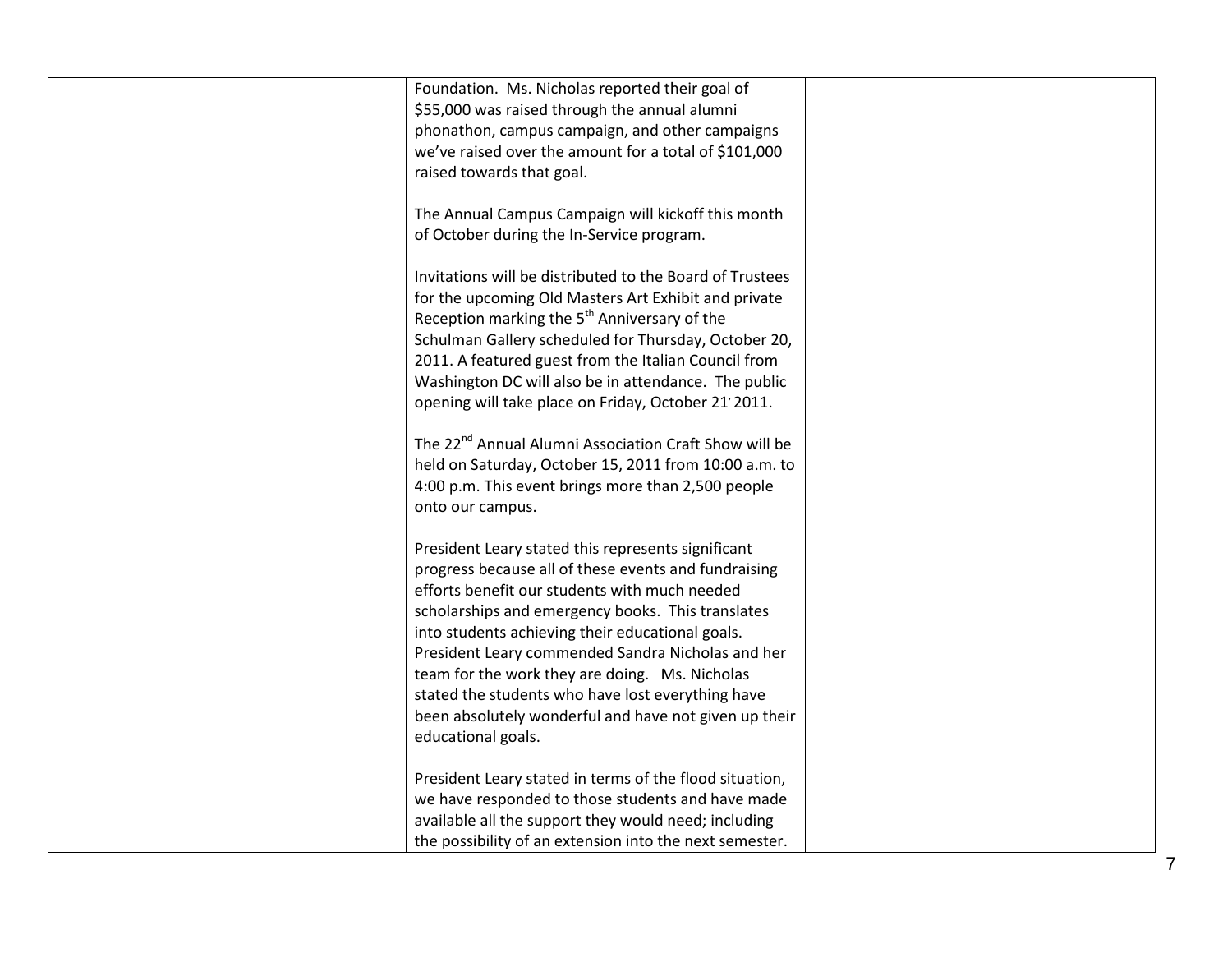| Foundation. Ms. Nicholas reported their goal of<br>\$55,000 was raised through the annual alumni<br>phonathon, campus campaign, and other campaigns<br>we've raised over the amount for a total of \$101,000<br>raised towards that goal.                                                                                                                                                                                                                                                                       |  |
|-----------------------------------------------------------------------------------------------------------------------------------------------------------------------------------------------------------------------------------------------------------------------------------------------------------------------------------------------------------------------------------------------------------------------------------------------------------------------------------------------------------------|--|
| The Annual Campus Campaign will kickoff this month<br>of October during the In-Service program.                                                                                                                                                                                                                                                                                                                                                                                                                 |  |
| Invitations will be distributed to the Board of Trustees<br>for the upcoming Old Masters Art Exhibit and private<br>Reception marking the 5 <sup>th</sup> Anniversary of the<br>Schulman Gallery scheduled for Thursday, October 20,<br>2011. A featured guest from the Italian Council from<br>Washington DC will also be in attendance. The public<br>opening will take place on Friday, October 21'2011.                                                                                                     |  |
| The 22 <sup>nd</sup> Annual Alumni Association Craft Show will be<br>held on Saturday, October 15, 2011 from 10:00 a.m. to<br>4:00 p.m. This event brings more than 2,500 people<br>onto our campus.                                                                                                                                                                                                                                                                                                            |  |
| President Leary stated this represents significant<br>progress because all of these events and fundraising<br>efforts benefit our students with much needed<br>scholarships and emergency books. This translates<br>into students achieving their educational goals.<br>President Leary commended Sandra Nicholas and her<br>team for the work they are doing. Ms. Nicholas<br>stated the students who have lost everything have<br>been absolutely wonderful and have not given up their<br>educational goals. |  |
| President Leary stated in terms of the flood situation,<br>we have responded to those students and have made<br>available all the support they would need; including<br>the possibility of an extension into the next semester.                                                                                                                                                                                                                                                                                 |  |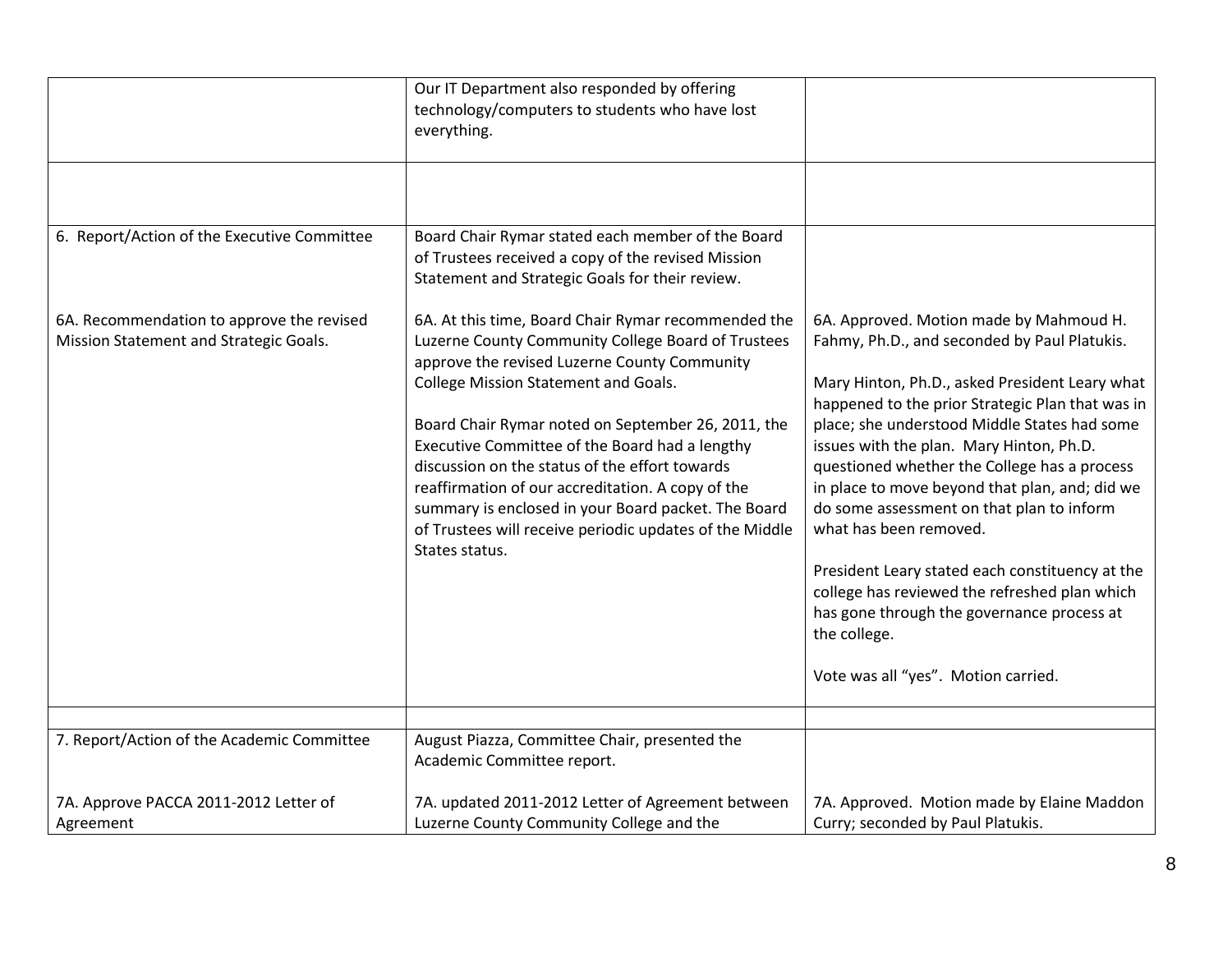| 6. Report/Action of the Executive Committee<br>Board Chair Rymar stated each member of the Board<br>of Trustees received a copy of the revised Mission<br>Statement and Strategic Goals for their review.                                                                                                                                                                                                                                                                                                                                                                                                                                                                                                                                                                                                                                                                                                                                                                                                                                                                                                                                                                                                                                                                                                                  |  |
|----------------------------------------------------------------------------------------------------------------------------------------------------------------------------------------------------------------------------------------------------------------------------------------------------------------------------------------------------------------------------------------------------------------------------------------------------------------------------------------------------------------------------------------------------------------------------------------------------------------------------------------------------------------------------------------------------------------------------------------------------------------------------------------------------------------------------------------------------------------------------------------------------------------------------------------------------------------------------------------------------------------------------------------------------------------------------------------------------------------------------------------------------------------------------------------------------------------------------------------------------------------------------------------------------------------------------|--|
| 6A. Recommendation to approve the revised<br>6A. At this time, Board Chair Rymar recommended the<br>6A. Approved. Motion made by Mahmoud H.<br>Luzerne County Community College Board of Trustees<br>Fahmy, Ph.D., and seconded by Paul Platukis.<br>Mission Statement and Strategic Goals.<br>approve the revised Luzerne County Community<br>College Mission Statement and Goals.<br>Mary Hinton, Ph.D., asked President Leary what<br>happened to the prior Strategic Plan that was in<br>place; she understood Middle States had some<br>Board Chair Rymar noted on September 26, 2011, the<br>Executive Committee of the Board had a lengthy<br>issues with the plan. Mary Hinton, Ph.D.<br>discussion on the status of the effort towards<br>questioned whether the College has a process<br>reaffirmation of our accreditation. A copy of the<br>in place to move beyond that plan, and; did we<br>summary is enclosed in your Board packet. The Board<br>do some assessment on that plan to inform<br>of Trustees will receive periodic updates of the Middle<br>what has been removed.<br>States status.<br>President Leary stated each constituency at the<br>college has reviewed the refreshed plan which<br>has gone through the governance process at<br>the college.<br>Vote was all "yes". Motion carried. |  |
|                                                                                                                                                                                                                                                                                                                                                                                                                                                                                                                                                                                                                                                                                                                                                                                                                                                                                                                                                                                                                                                                                                                                                                                                                                                                                                                            |  |
| 7. Report/Action of the Academic Committee<br>August Piazza, Committee Chair, presented the<br>Academic Committee report.                                                                                                                                                                                                                                                                                                                                                                                                                                                                                                                                                                                                                                                                                                                                                                                                                                                                                                                                                                                                                                                                                                                                                                                                  |  |
| 7A. updated 2011-2012 Letter of Agreement between<br>7A. Approve PACCA 2011-2012 Letter of<br>7A. Approved. Motion made by Elaine Maddon<br>Luzerne County Community College and the<br>Curry; seconded by Paul Platukis.<br>Agreement                                                                                                                                                                                                                                                                                                                                                                                                                                                                                                                                                                                                                                                                                                                                                                                                                                                                                                                                                                                                                                                                                     |  |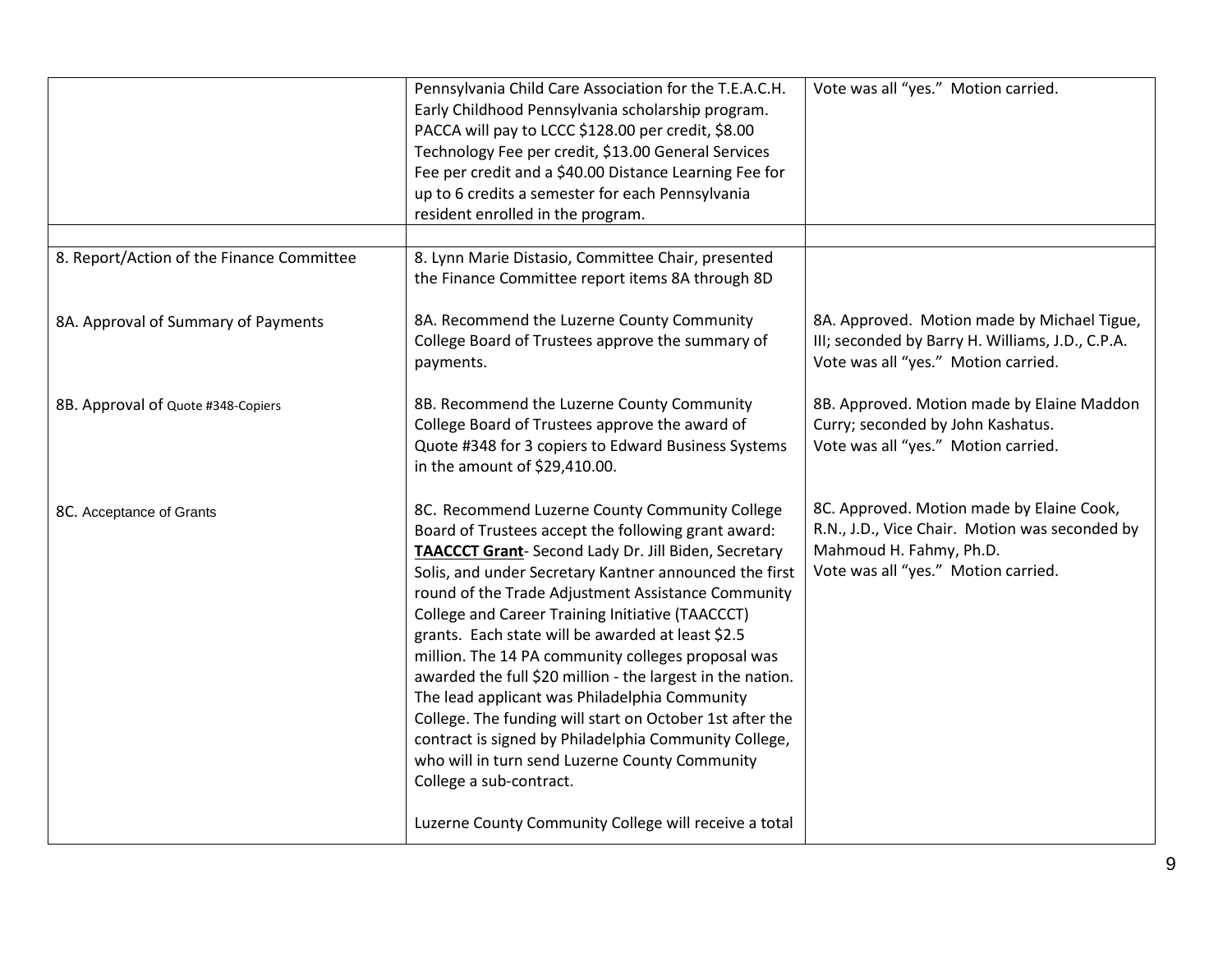|                                           | Pennsylvania Child Care Association for the T.E.A.C.H.<br>Early Childhood Pennsylvania scholarship program.<br>PACCA will pay to LCCC \$128.00 per credit, \$8.00<br>Technology Fee per credit, \$13.00 General Services<br>Fee per credit and a \$40.00 Distance Learning Fee for<br>up to 6 credits a semester for each Pennsylvania<br>resident enrolled in the program.                                                                                                                                                                                                                                                                                                                                                                                                                                                  | Vote was all "yes." Motion carried.                                                                                                                           |
|-------------------------------------------|------------------------------------------------------------------------------------------------------------------------------------------------------------------------------------------------------------------------------------------------------------------------------------------------------------------------------------------------------------------------------------------------------------------------------------------------------------------------------------------------------------------------------------------------------------------------------------------------------------------------------------------------------------------------------------------------------------------------------------------------------------------------------------------------------------------------------|---------------------------------------------------------------------------------------------------------------------------------------------------------------|
| 8. Report/Action of the Finance Committee | 8. Lynn Marie Distasio, Committee Chair, presented                                                                                                                                                                                                                                                                                                                                                                                                                                                                                                                                                                                                                                                                                                                                                                           |                                                                                                                                                               |
|                                           | the Finance Committee report items 8A through 8D                                                                                                                                                                                                                                                                                                                                                                                                                                                                                                                                                                                                                                                                                                                                                                             |                                                                                                                                                               |
| 8A. Approval of Summary of Payments       | 8A. Recommend the Luzerne County Community<br>College Board of Trustees approve the summary of<br>payments.                                                                                                                                                                                                                                                                                                                                                                                                                                                                                                                                                                                                                                                                                                                  | 8A. Approved. Motion made by Michael Tigue,<br>III; seconded by Barry H. Williams, J.D., C.P.A.<br>Vote was all "yes." Motion carried.                        |
| 8B. Approval of Quote #348-Copiers        | 8B. Recommend the Luzerne County Community<br>College Board of Trustees approve the award of<br>Quote #348 for 3 copiers to Edward Business Systems<br>in the amount of \$29,410.00.                                                                                                                                                                                                                                                                                                                                                                                                                                                                                                                                                                                                                                         | 8B. Approved. Motion made by Elaine Maddon<br>Curry; seconded by John Kashatus.<br>Vote was all "yes." Motion carried.                                        |
| 8C. Acceptance of Grants                  | 8C. Recommend Luzerne County Community College<br>Board of Trustees accept the following grant award:<br><b>TAACCCT Grant-Second Lady Dr. Jill Biden, Secretary</b><br>Solis, and under Secretary Kantner announced the first<br>round of the Trade Adjustment Assistance Community<br>College and Career Training Initiative (TAACCCT)<br>grants. Each state will be awarded at least \$2.5<br>million. The 14 PA community colleges proposal was<br>awarded the full \$20 million - the largest in the nation.<br>The lead applicant was Philadelphia Community<br>College. The funding will start on October 1st after the<br>contract is signed by Philadelphia Community College,<br>who will in turn send Luzerne County Community<br>College a sub-contract.<br>Luzerne County Community College will receive a total | 8C. Approved. Motion made by Elaine Cook,<br>R.N., J.D., Vice Chair. Motion was seconded by<br>Mahmoud H. Fahmy, Ph.D.<br>Vote was all "yes." Motion carried. |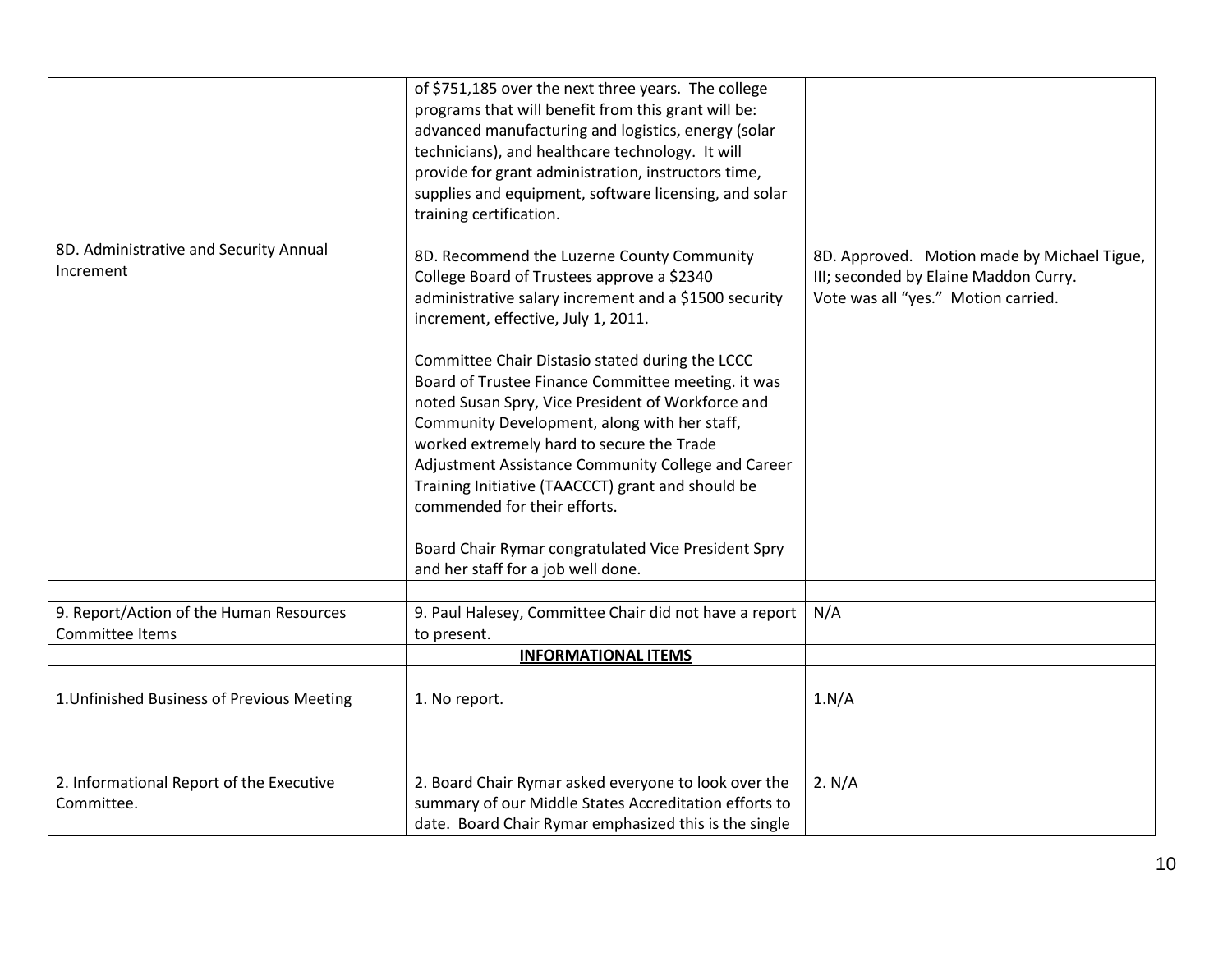|                                                            | of \$751,185 over the next three years. The college<br>programs that will benefit from this grant will be:<br>advanced manufacturing and logistics, energy (solar<br>technicians), and healthcare technology. It will<br>provide for grant administration, instructors time,<br>supplies and equipment, software licensing, and solar<br>training certification.                                       |                                                                                                                             |
|------------------------------------------------------------|--------------------------------------------------------------------------------------------------------------------------------------------------------------------------------------------------------------------------------------------------------------------------------------------------------------------------------------------------------------------------------------------------------|-----------------------------------------------------------------------------------------------------------------------------|
| 8D. Administrative and Security Annual<br>Increment        | 8D. Recommend the Luzerne County Community<br>College Board of Trustees approve a \$2340<br>administrative salary increment and a \$1500 security<br>increment, effective, July 1, 2011.<br>Committee Chair Distasio stated during the LCCC<br>Board of Trustee Finance Committee meeting. it was<br>noted Susan Spry, Vice President of Workforce and<br>Community Development, along with her staff, | 8D. Approved. Motion made by Michael Tigue,<br>III; seconded by Elaine Maddon Curry.<br>Vote was all "yes." Motion carried. |
|                                                            | worked extremely hard to secure the Trade<br>Adjustment Assistance Community College and Career<br>Training Initiative (TAACCCT) grant and should be<br>commended for their efforts.<br>Board Chair Rymar congratulated Vice President Spry<br>and her staff for a job well done.                                                                                                                      |                                                                                                                             |
|                                                            |                                                                                                                                                                                                                                                                                                                                                                                                        |                                                                                                                             |
| 9. Report/Action of the Human Resources<br>Committee Items | 9. Paul Halesey, Committee Chair did not have a report<br>to present.<br><b>INFORMATIONAL ITEMS</b>                                                                                                                                                                                                                                                                                                    | N/A                                                                                                                         |
|                                                            |                                                                                                                                                                                                                                                                                                                                                                                                        |                                                                                                                             |
| 1. Unfinished Business of Previous Meeting                 | 1. No report.                                                                                                                                                                                                                                                                                                                                                                                          | 1.N/A                                                                                                                       |
| 2. Informational Report of the Executive<br>Committee.     | 2. Board Chair Rymar asked everyone to look over the<br>summary of our Middle States Accreditation efforts to<br>date. Board Chair Rymar emphasized this is the single                                                                                                                                                                                                                                 | 2. N/A                                                                                                                      |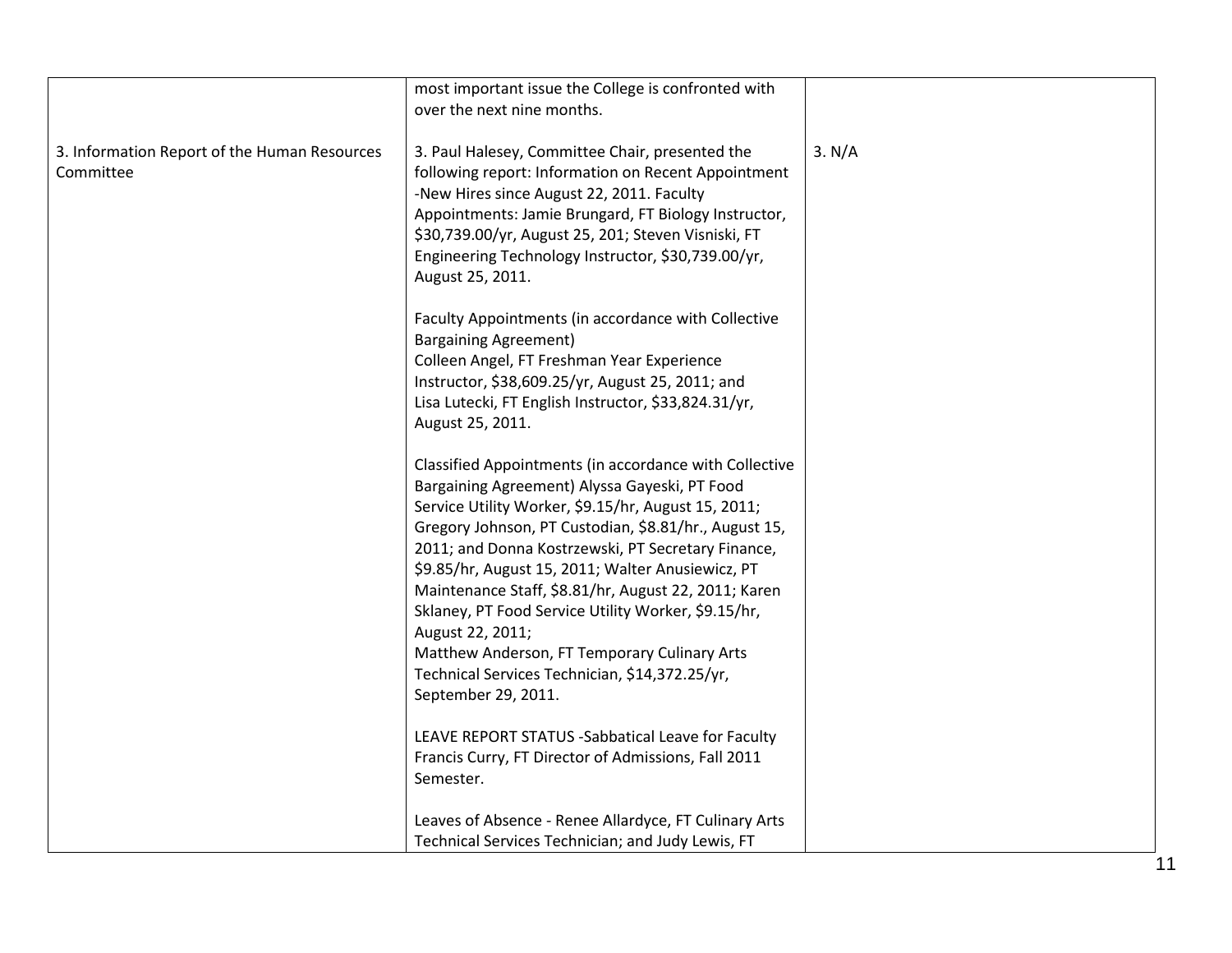|                                                           | most important issue the College is confronted with<br>over the next nine months.                                                                                                                                                                                                                                                                                                                                                                                                                                                                                                              |        |
|-----------------------------------------------------------|------------------------------------------------------------------------------------------------------------------------------------------------------------------------------------------------------------------------------------------------------------------------------------------------------------------------------------------------------------------------------------------------------------------------------------------------------------------------------------------------------------------------------------------------------------------------------------------------|--------|
| 3. Information Report of the Human Resources<br>Committee | 3. Paul Halesey, Committee Chair, presented the<br>following report: Information on Recent Appointment<br>-New Hires since August 22, 2011. Faculty<br>Appointments: Jamie Brungard, FT Biology Instructor,<br>\$30,739.00/yr, August 25, 201; Steven Visniski, FT<br>Engineering Technology Instructor, \$30,739.00/yr,<br>August 25, 2011.                                                                                                                                                                                                                                                   | 3. N/A |
|                                                           | Faculty Appointments (in accordance with Collective<br><b>Bargaining Agreement)</b><br>Colleen Angel, FT Freshman Year Experience<br>Instructor, \$38,609.25/yr, August 25, 2011; and<br>Lisa Lutecki, FT English Instructor, \$33,824.31/yr,<br>August 25, 2011.                                                                                                                                                                                                                                                                                                                              |        |
|                                                           | Classified Appointments (in accordance with Collective<br>Bargaining Agreement) Alyssa Gayeski, PT Food<br>Service Utility Worker, \$9.15/hr, August 15, 2011;<br>Gregory Johnson, PT Custodian, \$8.81/hr., August 15,<br>2011; and Donna Kostrzewski, PT Secretary Finance,<br>\$9.85/hr, August 15, 2011; Walter Anusiewicz, PT<br>Maintenance Staff, \$8.81/hr, August 22, 2011; Karen<br>Sklaney, PT Food Service Utility Worker, \$9.15/hr,<br>August 22, 2011;<br>Matthew Anderson, FT Temporary Culinary Arts<br>Technical Services Technician, \$14,372.25/yr,<br>September 29, 2011. |        |
|                                                           | LEAVE REPORT STATUS - Sabbatical Leave for Faculty<br>Francis Curry, FT Director of Admissions, Fall 2011<br>Semester.                                                                                                                                                                                                                                                                                                                                                                                                                                                                         |        |
|                                                           | Leaves of Absence - Renee Allardyce, FT Culinary Arts<br>Technical Services Technician; and Judy Lewis, FT                                                                                                                                                                                                                                                                                                                                                                                                                                                                                     |        |